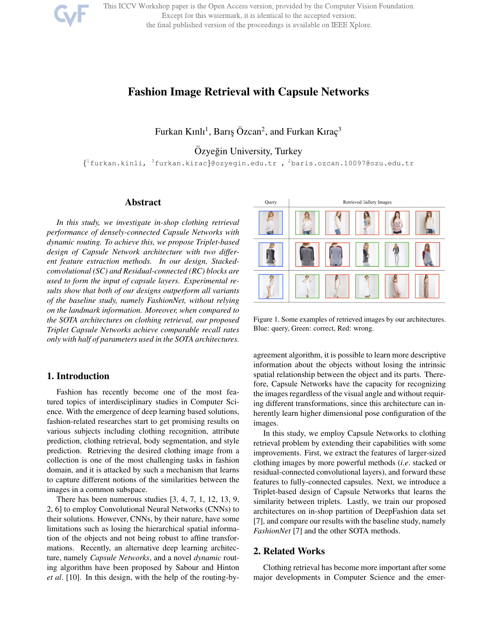

# Fashion Image Retrieval with Capsule Networks

Furkan Kınlı<sup>1</sup>, Barış Özcan<sup>2</sup>, and Furkan Kıraç<sup>3</sup>

Özyeğin University, Turkey

{ <sup>1</sup>furkan.kinli, <sup>3</sup>furkan.kirac}@ozyegin.edu.tr , <sup>2</sup>baris.ozcan.10097@ozu.edu.tr

#### Abstract

*In this study, we investigate in-shop clothing retrieval performance of densely-connected Capsule Networks with dynamic routing. To achieve this, we propose Triplet-based design of Capsule Network architecture with two different feature extraction methods. In our design, Stackedconvolutional (SC) and Residual-connected (RC) blocks are used to form the input of capsule layers. Experimental results show that both of our designs outperform all variants of the baseline study, namely FashionNet, without relying on the landmark information. Moreover, when compared to the SOTA architectures on clothing retrieval, our proposed Triplet Capsule Networks achieve comparable recall rates only with half of parameters used in the SOTA architectures.*

#### 1. Introduction

Fashion has recently become one of the most featured topics of interdisciplinary studies in Computer Science. With the emergence of deep learning based solutions, fashion-related researches start to get promising results on various subjects including clothing recognition, attribute prediction, clothing retrieval, body segmentation, and style prediction. Retrieving the desired clothing image from a collection is one of the most challenging tasks in fashion domain, and it is attacked by such a mechanism that learns to capture different notions of the similarities between the images in a common subspace.

There has been numerous studies [3, 4, 7, 1, 12, 13, 9, 2, 6] to employ Convolutional Neural Networks (CNNs) to their solutions. However, CNNs, by their nature, have some limitations such as losing the hierarchical spatial information of the objects and not being robust to affine transformations. Recently, an alternative deep learning architecture, namely *Capsule Networks*, and a novel *dynamic* routing algorithm have been proposed by Sabour and Hinton *et al*. [10]. In this design, with the help of the routing-by-



Figure 1. Some examples of retrieved images by our architectures. Blue: query, Green: correct, Red: wrong.

agreement algorithm, it is possible to learn more descriptive information about the objects without losing the intrinsic spatial relationship between the object and its parts. Therefore, Capsule Networks have the capacity for recognizing the images regardless of the visual angle and without requiring different transformations, since this architecture can inherently learn higher dimensional pose configuration of the images.

In this study, we employ Capsule Networks to clothing retrieval problem by extending their capabilities with some improvements. First, we extract the features of larger-sized clothing images by more powerful methods (*i.e*. stacked or residual-connected convolutional layers), and forward these features to fully-connected capsules. Next, we introduce a Triplet-based design of Capsule Networks that learns the similarity between triplets. Lastly, we train our proposed architectures on in-shop partition of DeepFashion data set [7], and compare our results with the baseline study, namely *FashionNet* [7] and the other SOTA methods.

## 2. Related Works

Clothing retrieval has become more important after some major developments in Computer Science and the emer-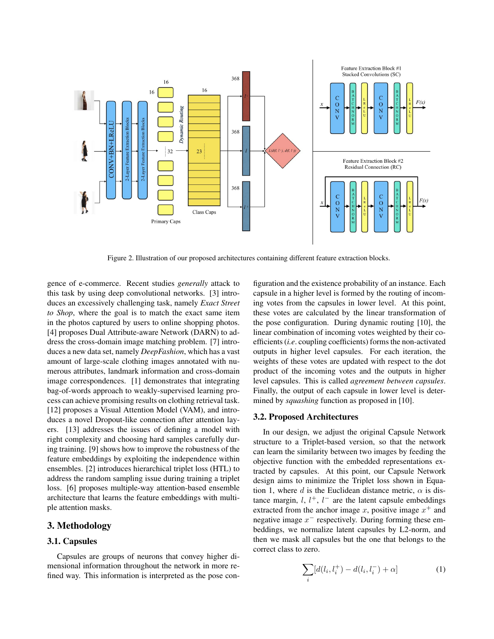

Figure 2. Illustration of our proposed architectures containing different feature extraction blocks.

gence of e-commerce. Recent studies *generally* attack to this task by using deep convolutional networks. [3] introduces an excessively challenging task, namely *Exact Street to Shop*, where the goal is to match the exact same item in the photos captured by users to online shopping photos. [4] proposes Dual Attribute-aware Network (DARN) to address the cross-domain image matching problem. [7] introduces a new data set, namely *DeepFashion*, which has a vast amount of large-scale clothing images annotated with numerous attributes, landmark information and cross-domain image correspondences. [1] demonstrates that integrating bag-of-words approach to weakly-supervised learning process can achieve promising results on clothing retrieval task. [12] proposes a Visual Attention Model (VAM), and introduces a novel Dropout-like connection after attention layers. [13] addresses the issues of defining a model with right complexity and choosing hard samples carefully during training. [9] shows how to improve the robustness of the feature embeddings by exploiting the independence within ensembles. [2] introduces hierarchical triplet loss (HTL) to address the random sampling issue during training a triplet loss. [6] proposes multiple-way attention-based ensemble architecture that learns the feature embeddings with multiple attention masks.

# 3. Methodology

## 3.1. Capsules

Capsules are groups of neurons that convey higher dimensional information throughout the network in more refined way. This information is interpreted as the pose con-

figuration and the existence probability of an instance. Each capsule in a higher level is formed by the routing of incoming votes from the capsules in lower level. At this point, these votes are calculated by the linear transformation of the pose configuration. During dynamic routing [10], the linear combination of incoming votes weighted by their coefficients (*i.e*. coupling coefficients) forms the non-activated outputs in higher level capsules. For each iteration, the weights of these votes are updated with respect to the dot product of the incoming votes and the outputs in higher level capsules. This is called *agreement between capsules*. Finally, the output of each capsule in lower level is determined by *squashing* function as proposed in [10].

#### 3.2. Proposed Architectures

In our design, we adjust the original Capsule Network structure to a Triplet-based version, so that the network can learn the similarity between two images by feeding the objective function with the embedded representations extracted by capsules. At this point, our Capsule Network design aims to minimize the Triplet loss shown in Equation 1, where d is the Euclidean distance metric,  $\alpha$  is distance margin,  $l, l^+, l^-$  are the latent capsule embeddings extracted from the anchor image x, positive image  $x^+$  and negative image  $x^-$  respectively. During forming these embeddings, we normalize latent capsules by L2-norm, and then we mask all capsules but the one that belongs to the correct class to zero.

$$
\sum_{i} [d(l_i, l_i^+) - d(l_i, l_i^-) + \alpha] \tag{1}
$$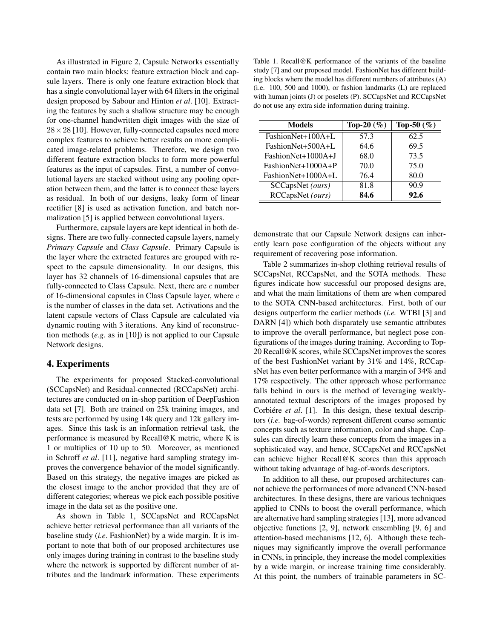As illustrated in Figure 2, Capsule Networks essentially contain two main blocks: feature extraction block and capsule layers. There is only one feature extraction block that has a single convolutional layer with 64 filters in the original design proposed by Sabour and Hinton *et al*. [10]. Extracting the features by such a shallow structure may be enough for one-channel handwritten digit images with the size of  $28 \times 28$  [10]. However, fully-connected capsules need more complex features to achieve better results on more complicated image-related problems. Therefore, we design two different feature extraction blocks to form more powerful features as the input of capsules. First, a number of convolutional layers are stacked without using any pooling operation between them, and the latter is to connect these layers as residual. In both of our designs, leaky form of linear rectifier [8] is used as activation function, and batch normalization [5] is applied between convolutional layers.

Furthermore, capsule layers are kept identical in both designs. There are two fully-connected capsule layers, namely *Primary Capsule* and *Class Capsule*. Primary Capsule is the layer where the extracted features are grouped with respect to the capsule dimensionality. In our designs, this layer has 32 channels of 16-dimensional capsules that are fully-connected to Class Capsule. Next, there are  $c$  number of 16-dimensional capsules in Class Capsule layer, where  $c$ is the number of classes in the data set. Activations and the latent capsule vectors of Class Capsule are calculated via dynamic routing with 3 iterations. Any kind of reconstruction methods (*e.g*. as in [10]) is not applied to our Capsule Network designs.

## 4. Experiments

The experiments for proposed Stacked-convolutional (SCCapsNet) and Residual-connected (RCCapsNet) architectures are conducted on in-shop partition of DeepFashion data set [7]. Both are trained on 25k training images, and tests are performed by using 14k query and 12k gallery images. Since this task is an information retrieval task, the performance is measured by Recall@K metric, where K is 1 or multiplies of 10 up to 50. Moreover, as mentioned in Schroff *et al*. [11], negative hard sampling strategy improves the convergence behavior of the model significantly. Based on this strategy, the negative images are picked as the closest image to the anchor provided that they are of different categories; whereas we pick each possible positive image in the data set as the positive one.

As shown in Table 1, SCCapsNet and RCCapsNet achieve better retrieval performance than all variants of the baseline study (*i.e*. FashionNet) by a wide margin. It is important to note that both of our proposed architectures use only images during training in contrast to the baseline study where the network is supported by different number of attributes and the landmark information. These experiments

Table 1. Recall@K performance of the variants of the baseline study [7] and our proposed model. FashionNet has different building blocks where the model has different numbers of attributes (A) (i.e. 100, 500 and 1000), or fashion landmarks (L) are replaced with human joints (J) or poselets (P). SCCapsNet and RCCapsNet do not use any extra side information during training.

| <b>Models</b>        | Top-20 $(\%)$ | Top-50 $(\% )$ |  |
|----------------------|---------------|----------------|--|
| FashionNet+100A+L    | 57.3          | 62.5           |  |
| FashionNet+500A+L    | 64.6          | 69.5           |  |
| FashionNet+1000A+J   | 68.0          | 73.5           |  |
| $FastionNet+1000A+P$ | 70.0          | 75.0           |  |
| FashionNet+1000A+L   | 76.4          | 80.0           |  |
| SCCapsNet (ours)     | 81.8          | 90.9           |  |
| RCCapsNet (ours)     | 84.6          | 92.6           |  |

demonstrate that our Capsule Network designs can inherently learn pose configuration of the objects without any requirement of recovering pose information.

Table 2 summarizes in-shop clothing retrieval results of SCCapsNet, RCCapsNet, and the SOTA methods. These figures indicate how successful our proposed designs are, and what the main limitations of them are when compared to the SOTA CNN-based architectures. First, both of our designs outperform the earlier methods (*i.e.* WTBI [3] and DARN [4]) which both disparately use semantic attributes to improve the overall performance, but neglect pose configurations of the images during training. According to Top-20 Recall@K scores, while SCCapsNet improves the scores of the best FashionNet variant by 31% and 14%, RCCapsNet has even better performance with a margin of 34% and 17% respectively. The other approach whose performance falls behind in ours is the method of leveraging weaklyannotated textual descriptors of the images proposed by Corbiére *et al.* [1]. In this design, these textual descriptors (*i.e.* bag-of-words) represent different coarse semantic concepts such as texture information, color and shape. Capsules can directly learn these concepts from the images in a sophisticated way, and hence, SCCapsNet and RCCapsNet can achieve higher Recall@K scores than this approach without taking advantage of bag-of-words descriptors.

In addition to all these, our proposed architectures cannot achieve the performances of more advanced CNN-based architectures. In these designs, there are various techniques applied to CNNs to boost the overall performance, which are alternative hard sampling strategies [13], more advanced objective functions [2, 9], network ensembling [9, 6] and attention-based mechanisms [12, 6]. Although these techniques may significantly improve the overall performance in CNNs, in principle, they increase the model complexities by a wide margin, or increase training time considerably. At this point, the numbers of trainable parameters in SC-